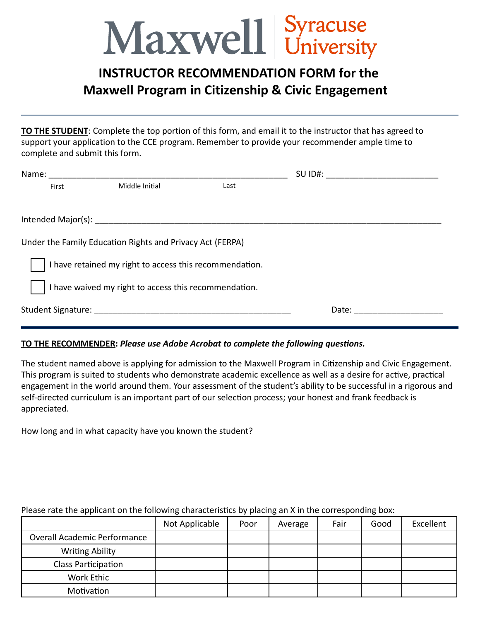## Maxwell Syracuse

## **INSTRUCTOR RECOMMENDATION FORM for the Maxwell Program in Citizenship & Civic Engagement**

**TO THE STUDENT**: Complete the top portion of this form, and email it to the instructor that has agreed to support your application to the CCE program. Remember to provide your recommender ample time to complete and submit this form.

| Name:                                                     |                | SU ID#: |  |  |  |  |  |
|-----------------------------------------------------------|----------------|---------|--|--|--|--|--|
| First                                                     | Middle Initial | Last    |  |  |  |  |  |
|                                                           |                |         |  |  |  |  |  |
|                                                           |                |         |  |  |  |  |  |
| Under the Family Education Rights and Privacy Act (FERPA) |                |         |  |  |  |  |  |
|                                                           |                |         |  |  |  |  |  |
| I have retained my right to access this recommendation.   |                |         |  |  |  |  |  |
| I have waived my right to access this recommendation.     |                |         |  |  |  |  |  |
|                                                           |                | Date:   |  |  |  |  |  |
|                                                           |                |         |  |  |  |  |  |

## **TO THE RECOMMENDER:** *Please use Adobe Acrobat to complete the following questions.*

The student named above is applying for admission to the Maxwell Program in Citizenship and Civic Engagement. This program is suited to students who demonstrate academic excellence as well as a desire for active, practical engagement in the world around them. Your assessment of the student's ability to be successful in a rigorous and self-directed curriculum is an important part of our selection process; your honest and frank feedback is appreciated.

How long and in what capacity have you known the student?

|                              | Not Applicable | Poor | Average | Fair | Good | Excellent |
|------------------------------|----------------|------|---------|------|------|-----------|
| Overall Academic Performance |                |      |         |      |      |           |
| <b>Writing Ability</b>       |                |      |         |      |      |           |
| Class Participation          |                |      |         |      |      |           |
| Work Ethic                   |                |      |         |      |      |           |
| Motivation                   |                |      |         |      |      |           |

## Please rate the applicant on the following characteristics by placing an X in the corresponding box: